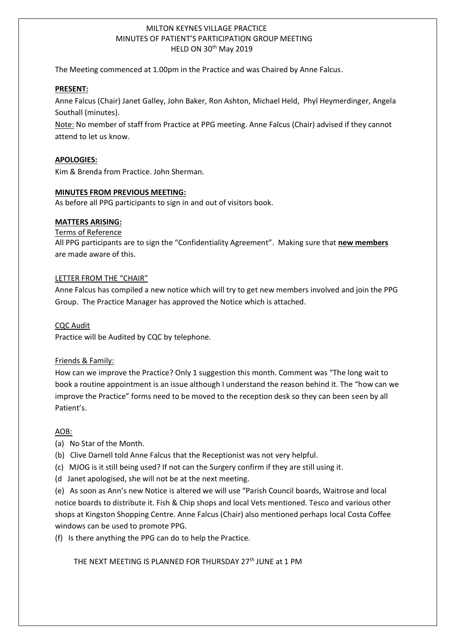# MILTON KEYNES VILLAGE PRACTICE MINUTES OF PATIENT'S PARTICIPATION GROUP MEETING HELD ON 30th May 2019

The Meeting commenced at 1.00pm in the Practice and was Chaired by Anne Falcus.

#### **PRESENT:**

1

Anne Falcus (Chair) Janet Galley, John Baker, Ron Ashton, Michael Held, Phyl Heymerdinger, Angela Southall (minutes).

Note: No member of staff from Practice at PPG meeting. Anne Falcus (Chair) advised if they cannot attend to let us know.

#### **APOLOGIES:**

Kim & Brenda from Practice. John Sherman.

### **MINUTES FROM PREVIOUS MEETING:**

As before all PPG participants to sign in and out of visitors book.

### **MATTERS ARISING:**

### Terms of Reference

All PPG participants are to sign the "Confidentiality Agreement". Making sure that **new members** are made aware of this.

### LETTER FROM THE "CHAIR"

Anne Falcus has compiled a new notice which will try to get new members involved and join the PPG Group. The Practice Manager has approved the Notice which is attached.

#### CQC Audit

Practice will be Audited by CQC by telephone.

# Friends & Family:

How can we improve the Practice? Only 1 suggestion this month. Comment was "The long wait to book a routine appointment is an issue although I understand the reason behind it. The "how can we improve the Practice" forms need to be moved to the reception desk so they can been seen by all Patient's.

# AOB:

(a) No Star of the Month.

- (b) Clive Darnell told Anne Falcus that the Receptionist was not very helpful.
- (c) MJOG is it still being used? If not can the Surgery confirm if they are still using it.
- (d Janet apologised, she will not be at the next meeting.

(e) As soon as Ann's new Notice is altered we will use "Parish Council boards, Waitrose and local notice boards to distribute it. Fish & Chip shops and local Vets mentioned. Tesco and various other shops at Kingston Shopping Centre. Anne Falcus (Chair) also mentioned perhaps local Costa Coffee windows can be used to promote PPG.

(f) Is there anything the PPG can do to help the Practice.

THE NEXT MEETING IS PLANNED FOR THURSDAY 27<sup>th</sup> JUNE at 1 PM